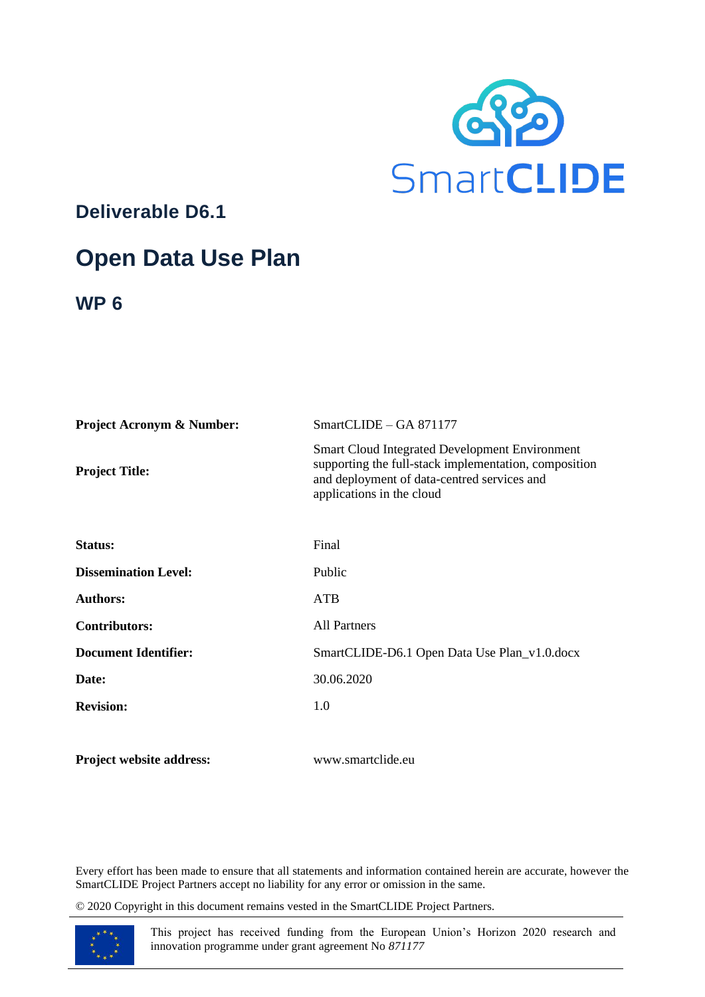

**Deliverable D6.1**

# **Open Data Use Plan**

**WP 6**

| <b>Project Acronym &amp; Number:</b> | $SmartCLIDE - GA 871177$                                                                                                                                                                   |
|--------------------------------------|--------------------------------------------------------------------------------------------------------------------------------------------------------------------------------------------|
| <b>Project Title:</b>                | <b>Smart Cloud Integrated Development Environment</b><br>supporting the full-stack implementation, composition<br>and deployment of data-centred services and<br>applications in the cloud |
| Status:                              | Final                                                                                                                                                                                      |
| <b>Dissemination Level:</b>          | Public                                                                                                                                                                                     |
| <b>Authors:</b>                      | <b>ATB</b>                                                                                                                                                                                 |
| <b>Contributors:</b>                 | <b>All Partners</b>                                                                                                                                                                        |
| <b>Document Identifier:</b>          | SmartCLIDE-D6.1 Open Data Use Plan_v1.0.docx                                                                                                                                               |
| Date:                                | 30.06.2020                                                                                                                                                                                 |
| <b>Revision:</b>                     | 1.0                                                                                                                                                                                        |
|                                      |                                                                                                                                                                                            |

**Project website address:** www.smartclide.eu

Every effort has been made to ensure that all statements and information contained herein are accurate, however the SmartCLIDE Project Partners accept no liability for any error or omission in the same.

© 2020 Copyright in this document remains vested in the SmartCLIDE Project Partners.



This project has received funding from the European Union's Horizon 2020 research and innovation programme under grant agreement No *871177*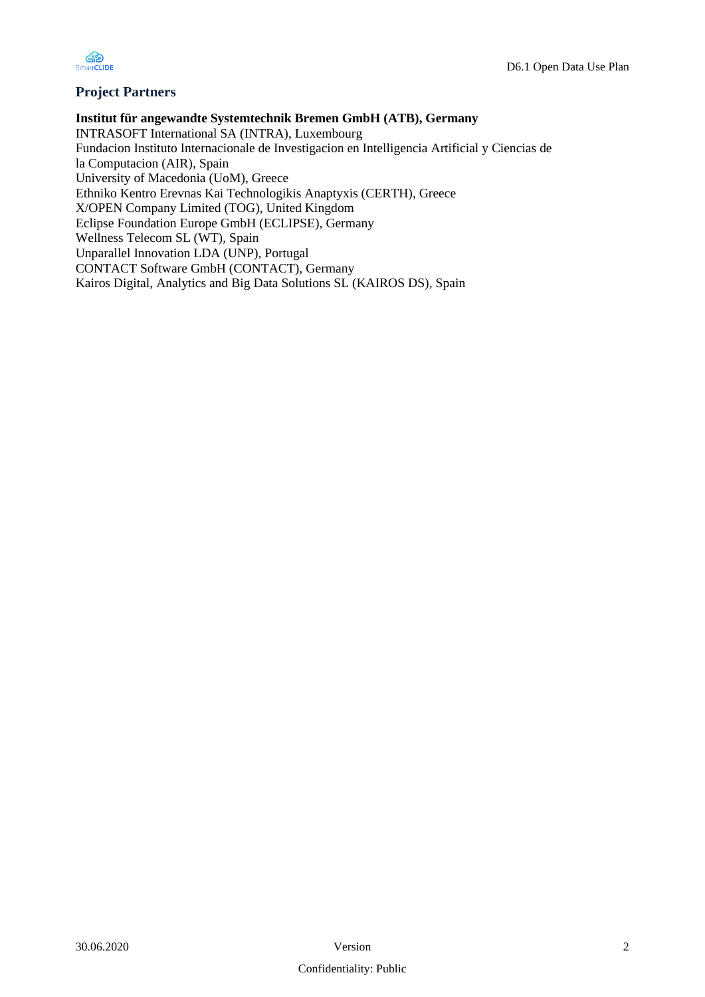

### **Project Partners**

**Institut für angewandte Systemtechnik Bremen GmbH (ATB), Germany**  INTRASOFT International SA (INTRA), Luxembourg Fundacion Instituto Internacionale de Investigacion en Intelligencia Artificial y Ciencias de la Computacion (AIR), Spain University of Macedonia (UoM), Greece Ethniko Kentro Erevnas Kai Technologikis Anaptyxis (CERTH), Greece X/OPEN Company Limited (TOG), United Kingdom Eclipse Foundation Europe GmbH (ECLIPSE), Germany Wellness Telecom SL (WT), Spain Unparallel Innovation LDA (UNP), Portugal CONTACT Software GmbH (CONTACT), Germany Kairos Digital, Analytics and Big Data Solutions SL (KAIROS DS), Spain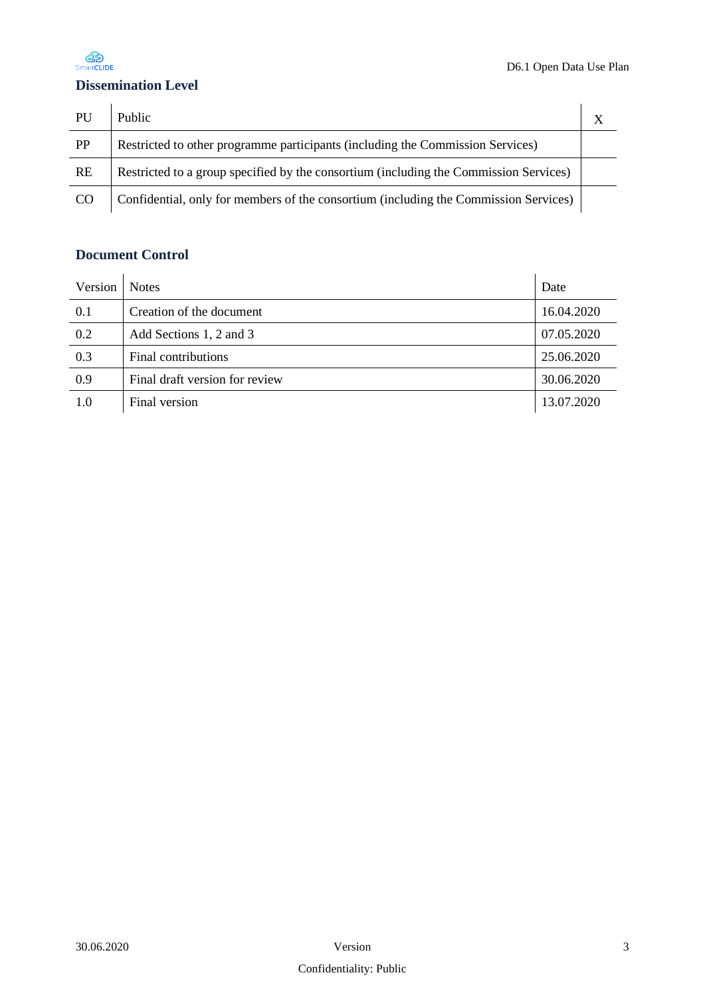

## **Dissemination Level**

| PU              | Public                                                                                |  |
|-----------------|---------------------------------------------------------------------------------------|--|
| PP              | Restricted to other programme participants (including the Commission Services)        |  |
| <b>RE</b>       | Restricted to a group specified by the consortium (including the Commission Services) |  |
| CO <sub>1</sub> | Confidential, only for members of the consortium (including the Commission Services)  |  |

## **Document Control**

| Version                        | <b>Notes</b>                      | Date       |
|--------------------------------|-----------------------------------|------------|
| 0.1                            | Creation of the document          |            |
| 0.2<br>Add Sections 1, 2 and 3 |                                   | 07.05.2020 |
| 0.3                            | 25.06.2020<br>Final contributions |            |
| 0.9                            | Final draft version for review    | 30.06.2020 |
| 1.0                            | Final version                     | 13.07.2020 |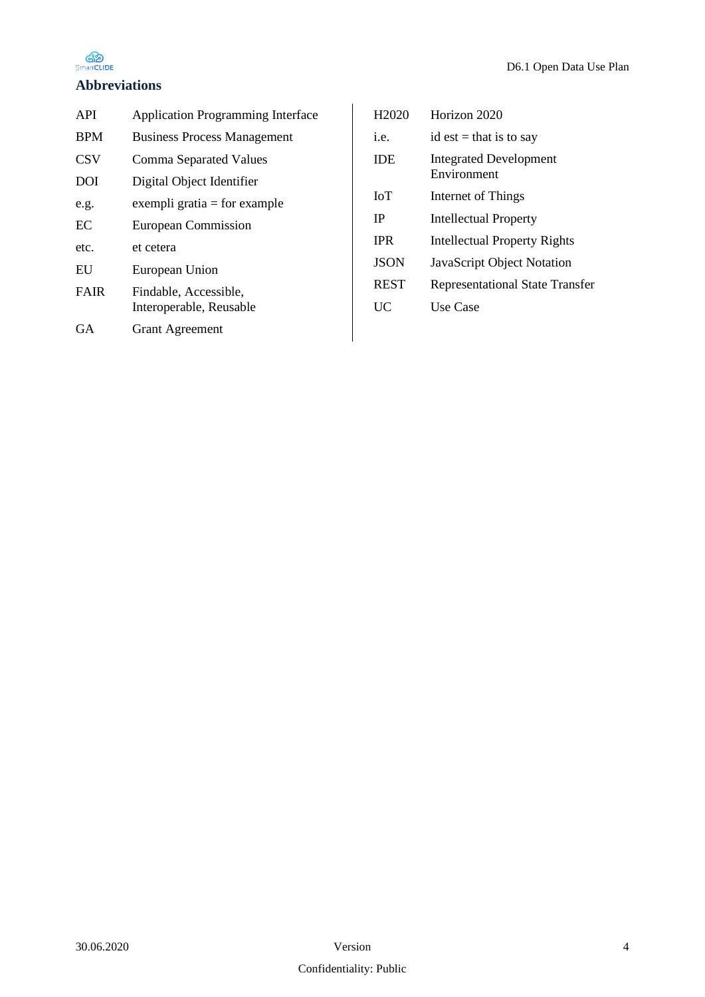

### **Abbreviations**

| API         | <b>Application Programming Interface</b>         |
|-------------|--------------------------------------------------|
| <b>BPM</b>  | <b>Business Process Management</b>               |
| <b>CSV</b>  | Comma Separated Values                           |
| <b>DOI</b>  | Digital Object Identifier                        |
| e.g.        | exempli gratia $=$ for example                   |
| EC          | <b>European Commission</b>                       |
| etc.        | et cetera                                        |
| EU          | European Union                                   |
| <b>FAIR</b> | Findable, Accessible,<br>Interoperable, Reusable |
| GA          | <b>Grant Agreement</b>                           |
|             |                                                  |

| H <sub>2</sub> 020 | Horizon 2020                                 |
|--------------------|----------------------------------------------|
| i.e.               | id est = that is to say                      |
| <b>IDE</b>         | <b>Integrated Development</b><br>Environment |
| <b>IoT</b>         | Internet of Things                           |
| IP                 | <b>Intellectual Property</b>                 |
| <b>IPR</b>         | <b>Intellectual Property Rights</b>          |
| <b>JSON</b>        | JavaScript Object Notation                   |
| <b>REST</b>        | <b>Representational State Transfer</b>       |
| UC                 | Use Case                                     |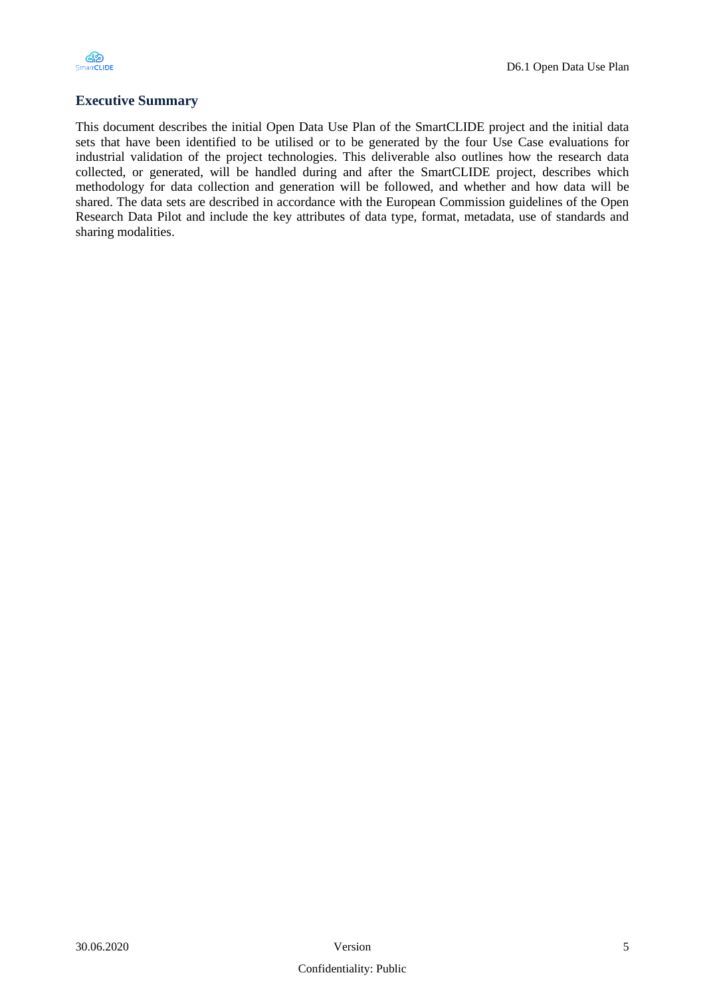

#### **Executive Summary**

This document describes the initial Open Data Use Plan of the SmartCLIDE project and the initial data sets that have been identified to be utilised or to be generated by the four Use Case evaluations for industrial validation of the project technologies. This deliverable also outlines how the research data collected, or generated, will be handled during and after the SmartCLIDE project, describes which methodology for data collection and generation will be followed, and whether and how data will be shared. The data sets are described in accordance with the European Commission guidelines of the Open Research Data Pilot and include the key attributes of data type, format, metadata, use of standards and sharing modalities.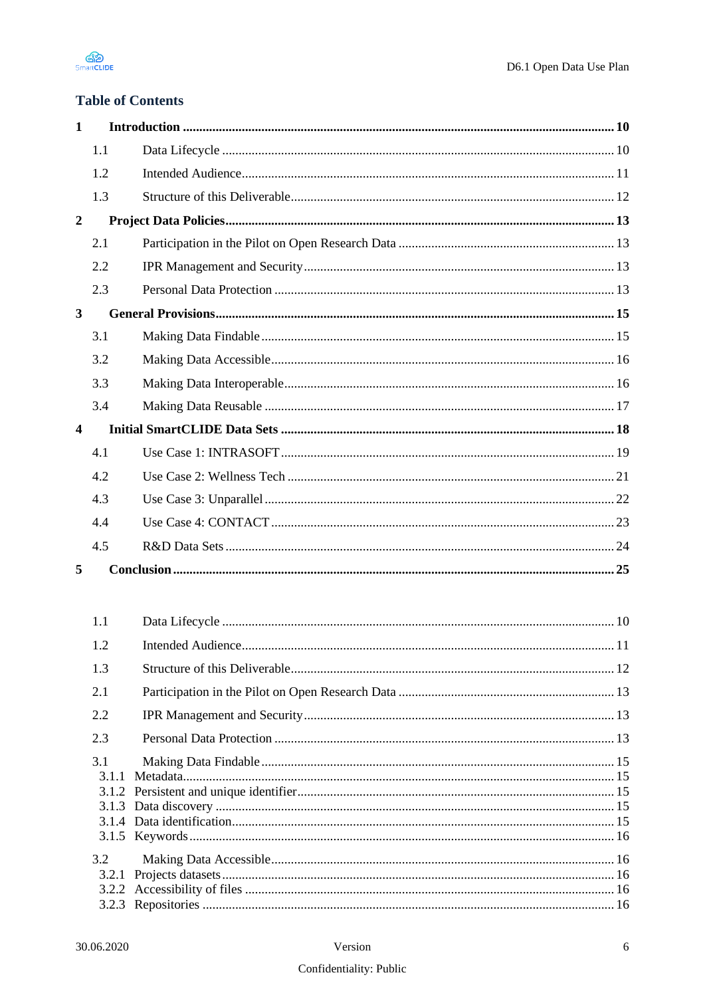

# **Table of Contents**

| 1                       |       |                   |     |
|-------------------------|-------|-------------------|-----|
|                         | 1.1   |                   |     |
|                         | 1.2   |                   |     |
|                         | 1.3   |                   |     |
| $\boldsymbol{2}$        |       |                   |     |
|                         | 2.1   |                   |     |
|                         | 2.2   |                   |     |
|                         | 2.3   |                   |     |
| $\overline{\mathbf{3}}$ |       |                   |     |
|                         | 3.1   |                   |     |
|                         | 3.2   |                   |     |
|                         | 3.3   |                   |     |
|                         | 3.4   |                   |     |
| $\overline{\mathbf{4}}$ |       |                   |     |
|                         | 4.1   |                   |     |
|                         | 4.2   |                   |     |
|                         | 4.3   |                   |     |
|                         | 4.4   |                   |     |
|                         | 4.5   |                   |     |
| 5                       |       |                   |     |
|                         |       |                   |     |
|                         | 1.1   |                   |     |
|                         | 1.2   | Intended Audience | .11 |
|                         | 1.3   |                   |     |
|                         | 2.1   |                   |     |
|                         | 2.2   |                   |     |
|                         | 2.3   |                   |     |
|                         | 3.1   |                   |     |
|                         | 3.1.1 |                   |     |
|                         |       |                   |     |
|                         |       |                   |     |
|                         | 3.2   |                   |     |
|                         | 3.2.1 |                   |     |
|                         |       |                   |     |
|                         |       |                   |     |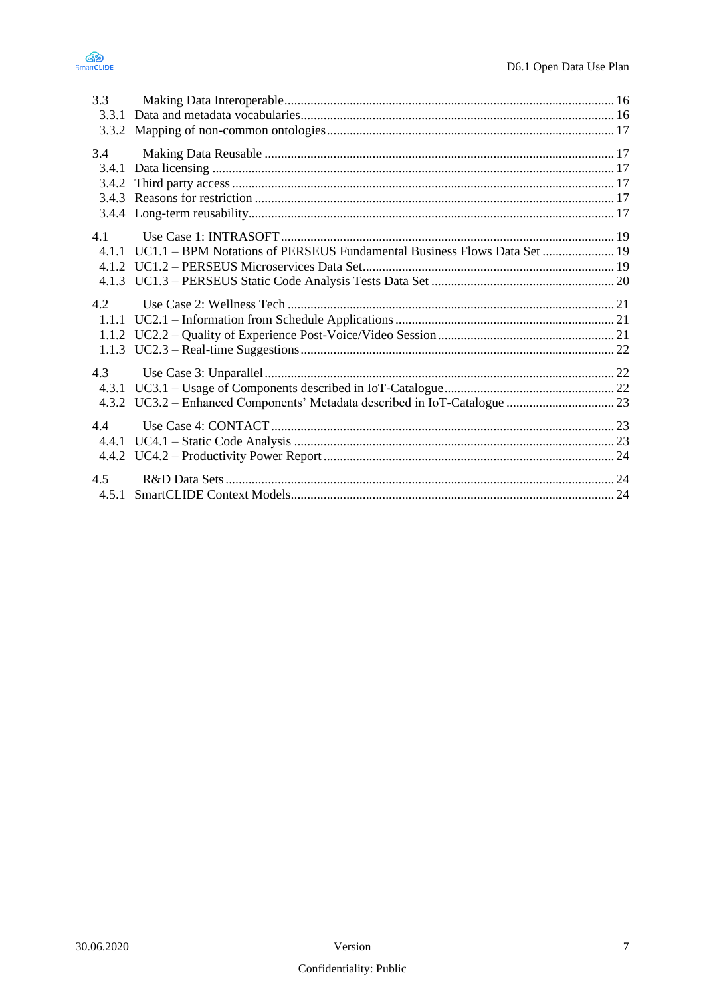



| 3.3   |                                                                          |  |
|-------|--------------------------------------------------------------------------|--|
| 3.3.1 |                                                                          |  |
|       |                                                                          |  |
| 3.4   |                                                                          |  |
| 3.4.1 |                                                                          |  |
| 3.4.2 |                                                                          |  |
|       |                                                                          |  |
|       |                                                                          |  |
| 41    |                                                                          |  |
| 4 1 1 | UC1.1 - BPM Notations of PERSEUS Fundamental Business Flows Data Set  19 |  |
|       |                                                                          |  |
|       |                                                                          |  |
| 4.2   |                                                                          |  |
| 1.1.1 |                                                                          |  |
|       |                                                                          |  |
|       |                                                                          |  |
| 4.3   |                                                                          |  |
| 4.3.1 |                                                                          |  |
|       |                                                                          |  |
| 4.4   |                                                                          |  |
| 4.4.1 |                                                                          |  |
|       |                                                                          |  |
| 4.5   |                                                                          |  |
| 4.5.1 |                                                                          |  |
|       |                                                                          |  |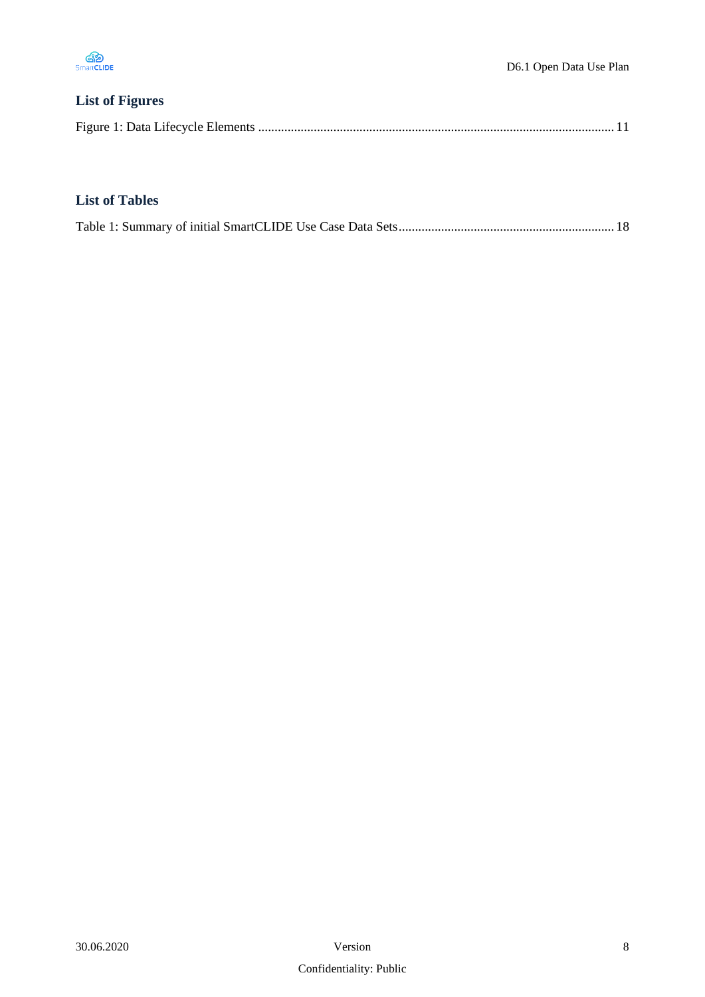

# **List of Figures**

|--|--|--|

## **List of Tables**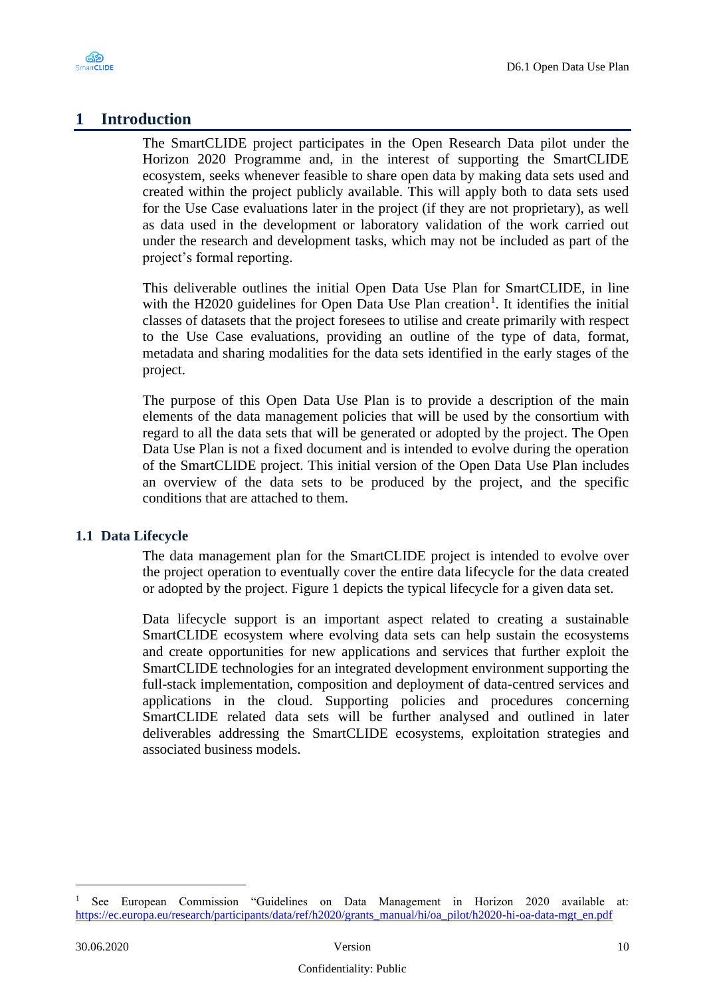

# <span id="page-9-0"></span>**1 Introduction**

The SmartCLIDE project participates in the Open Research Data pilot under the Horizon 2020 Programme and, in the interest of supporting the SmartCLIDE ecosystem, seeks whenever feasible to share open data by making data sets used and created within the project publicly available. This will apply both to data sets used for the Use Case evaluations later in the project (if they are not proprietary), as well as data used in the development or laboratory validation of the work carried out under the research and development tasks, which may not be included as part of the project's formal reporting.

This deliverable outlines the initial Open Data Use Plan for SmartCLIDE, in line with the H2020 guidelines for Open Data Use Plan creation<sup>1</sup>. It identifies the initial classes of datasets that the project foresees to utilise and create primarily with respect to the Use Case evaluations, providing an outline of the type of data, format, metadata and sharing modalities for the data sets identified in the early stages of the project.

The purpose of this Open Data Use Plan is to provide a description of the main elements of the data management policies that will be used by the consortium with regard to all the data sets that will be generated or adopted by the project. The Open Data Use Plan is not a fixed document and is intended to evolve during the operation of the SmartCLIDE project. This initial version of the Open Data Use Plan includes an overview of the data sets to be produced by the project, and the specific conditions that are attached to them.

### <span id="page-9-1"></span>**1.1 Data Lifecycle**

The data management plan for the SmartCLIDE project is intended to evolve over the project operation to eventually cover the entire data lifecycle for the data created or adopted by the project. Figure 1 depicts the typical lifecycle for a given data set.

Data lifecycle support is an important aspect related to creating a sustainable SmartCLIDE ecosystem where evolving data sets can help sustain the ecosystems and create opportunities for new applications and services that further exploit the SmartCLIDE technologies for an integrated development environment supporting the full-stack implementation, composition and deployment of data-centred services and applications in the cloud. Supporting policies and procedures concerning SmartCLIDE related data sets will be further analysed and outlined in later deliverables addressing the SmartCLIDE ecosystems, exploitation strategies and associated business models.

<sup>1</sup> See European Commission "Guidelines on Data Management in Horizon 2020 available at: [https://ec.europa.eu/research/participants/data/ref/h2020/grants\\_manual/hi/oa\\_pilot/h2020-hi-oa-data-mgt\\_en.pdf](https://ec.europa.eu/research/participants/data/ref/h2020/grants_manual/hi/oa_pilot/h2020-hi-oa-data-mgt_en.pdf)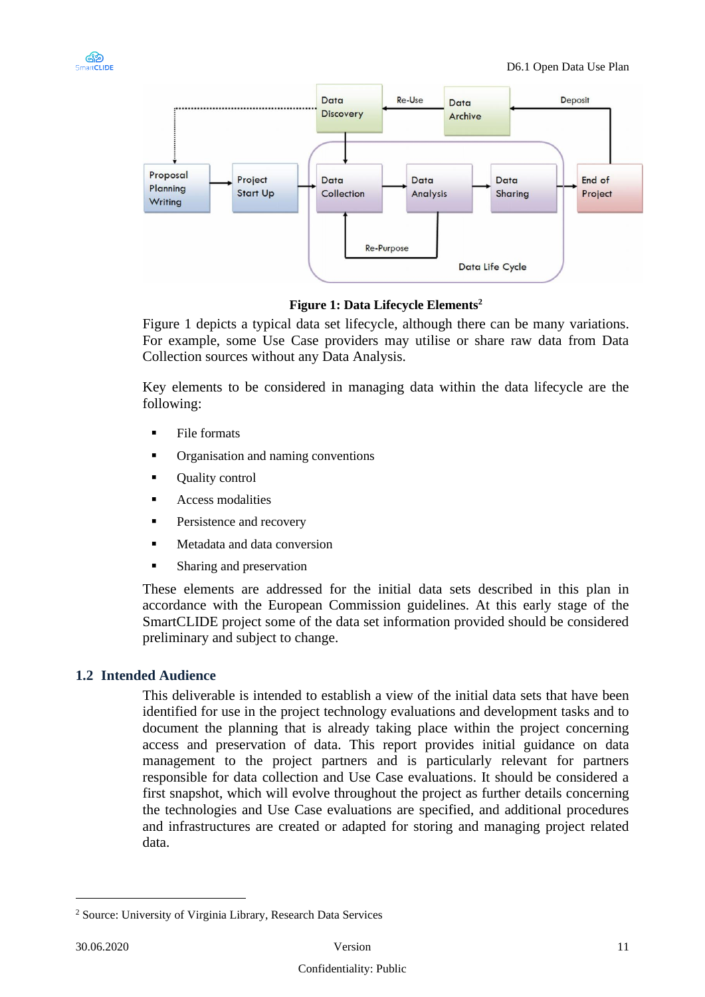



#### **Figure 1: Data Lifecycle Elements<sup>2</sup>**

<span id="page-10-1"></span>[Figure 1](#page-10-1) depicts a typical data set lifecycle, although there can be many variations. For example, some Use Case providers may utilise or share raw data from Data Collection sources without any Data Analysis.

Key elements to be considered in managing data within the data lifecycle are the following:

- **File formats**
- Organisation and naming conventions
- **Quality control**
- Access modalities
- Persistence and recovery
- Metadata and data conversion
- Sharing and preservation

These elements are addressed for the initial data sets described in this plan in accordance with the European Commission guidelines. At this early stage of the SmartCLIDE project some of the data set information provided should be considered preliminary and subject to change.

### <span id="page-10-0"></span>**1.2 Intended Audience**

This deliverable is intended to establish a view of the initial data sets that have been identified for use in the project technology evaluations and development tasks and to document the planning that is already taking place within the project concerning access and preservation of data. This report provides initial guidance on data management to the project partners and is particularly relevant for partners responsible for data collection and Use Case evaluations. It should be considered a first snapshot, which will evolve throughout the project as further details concerning the technologies and Use Case evaluations are specified, and additional procedures and infrastructures are created or adapted for storing and managing project related data.

<sup>2</sup> Source: University of Virginia Library, Research Data Services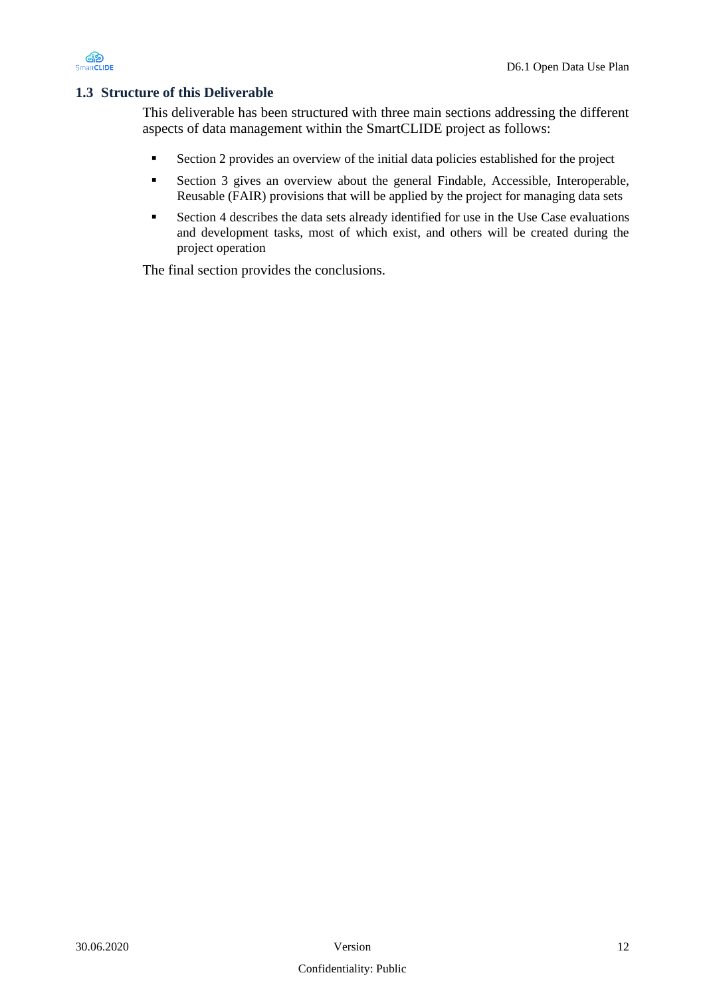

#### <span id="page-11-0"></span>**1.3 Structure of this Deliverable**

This deliverable has been structured with three main sections addressing the different aspects of data management within the SmartCLIDE project as follows:

- Section [2](#page-12-0) provides an overview of the initial data policies established for the project
- Section [3](#page-14-0) gives an overview about the general Findable, Accessible, Interoperable, Reusable (FAIR) provisions that will be applied by the project for managing data sets
- Section [4](#page-17-0) describes the data sets already identified for use in the Use Case evaluations and development tasks, most of which exist, and others will be created during the project operation

The final section provides the conclusions.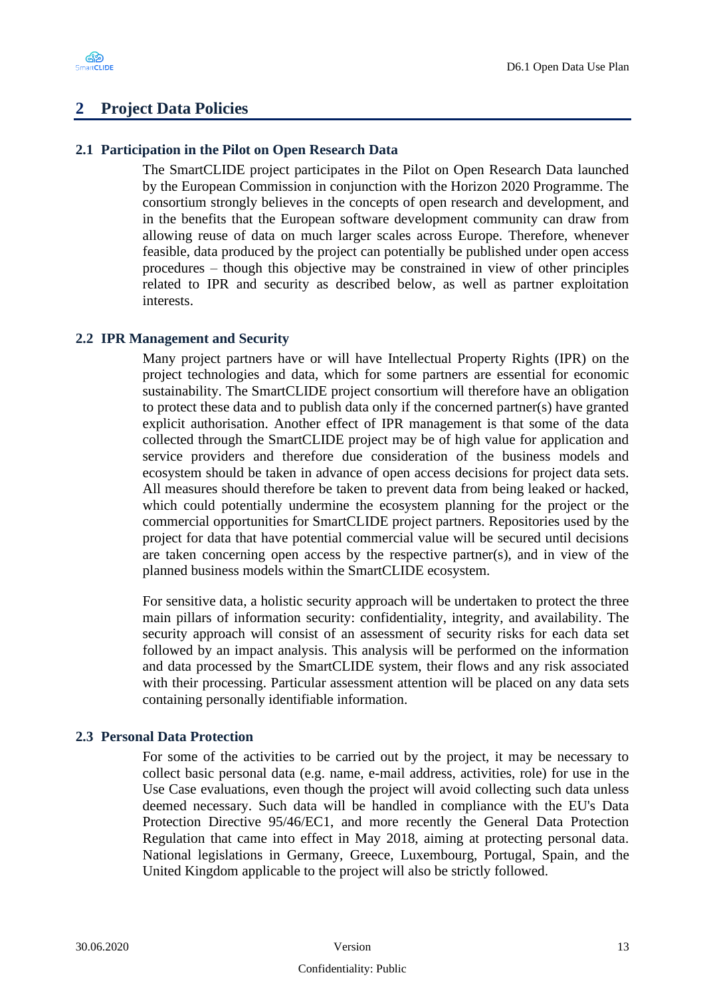

# <span id="page-12-0"></span>**2 Project Data Policies**

#### <span id="page-12-1"></span>**2.1 Participation in the Pilot on Open Research Data**

The SmartCLIDE project participates in the Pilot on Open Research Data launched by the European Commission in conjunction with the Horizon 2020 Programme. The consortium strongly believes in the concepts of open research and development, and in the benefits that the European software development community can draw from allowing reuse of data on much larger scales across Europe. Therefore, whenever feasible, data produced by the project can potentially be published under open access procedures – though this objective may be constrained in view of other principles related to IPR and security as described below, as well as partner exploitation interests.

#### <span id="page-12-2"></span>**2.2 IPR Management and Security**

Many project partners have or will have Intellectual Property Rights (IPR) on the project technologies and data, which for some partners are essential for economic sustainability. The SmartCLIDE project consortium will therefore have an obligation to protect these data and to publish data only if the concerned partner(s) have granted explicit authorisation. Another effect of IPR management is that some of the data collected through the SmartCLIDE project may be of high value for application and service providers and therefore due consideration of the business models and ecosystem should be taken in advance of open access decisions for project data sets. All measures should therefore be taken to prevent data from being leaked or hacked, which could potentially undermine the ecosystem planning for the project or the commercial opportunities for SmartCLIDE project partners. Repositories used by the project for data that have potential commercial value will be secured until decisions are taken concerning open access by the respective partner(s), and in view of the planned business models within the SmartCLIDE ecosystem.

For sensitive data, a holistic security approach will be undertaken to protect the three main pillars of information security: confidentiality, integrity, and availability. The security approach will consist of an assessment of security risks for each data set followed by an impact analysis. This analysis will be performed on the information and data processed by the SmartCLIDE system, their flows and any risk associated with their processing. Particular assessment attention will be placed on any data sets containing personally identifiable information.

#### <span id="page-12-3"></span>**2.3 Personal Data Protection**

For some of the activities to be carried out by the project, it may be necessary to collect basic personal data (e.g. name, e-mail address, activities, role) for use in the Use Case evaluations, even though the project will avoid collecting such data unless deemed necessary. Such data will be handled in compliance with the EU's Data Protection Directive 95/46/EC1, and more recently the General Data Protection Regulation that came into effect in May 2018, aiming at protecting personal data. National legislations in Germany, Greece, Luxembourg, Portugal, Spain, and the United Kingdom applicable to the project will also be strictly followed.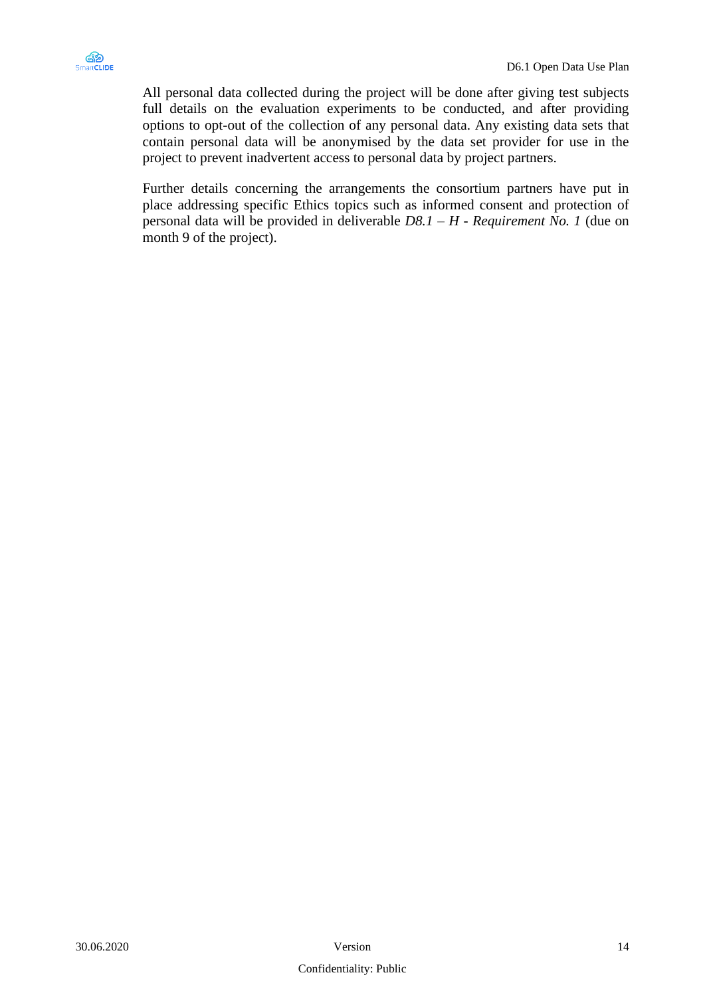

All personal data collected during the project will be done after giving test subjects full details on the evaluation experiments to be conducted, and after providing options to opt-out of the collection of any personal data. Any existing data sets that contain personal data will be anonymised by the data set provider for use in the project to prevent inadvertent access to personal data by project partners.

Further details concerning the arrangements the consortium partners have put in place addressing specific Ethics topics such as informed consent and protection of personal data will be provided in deliverable *D8.1 – H - Requirement No. 1* (due on month 9 of the project).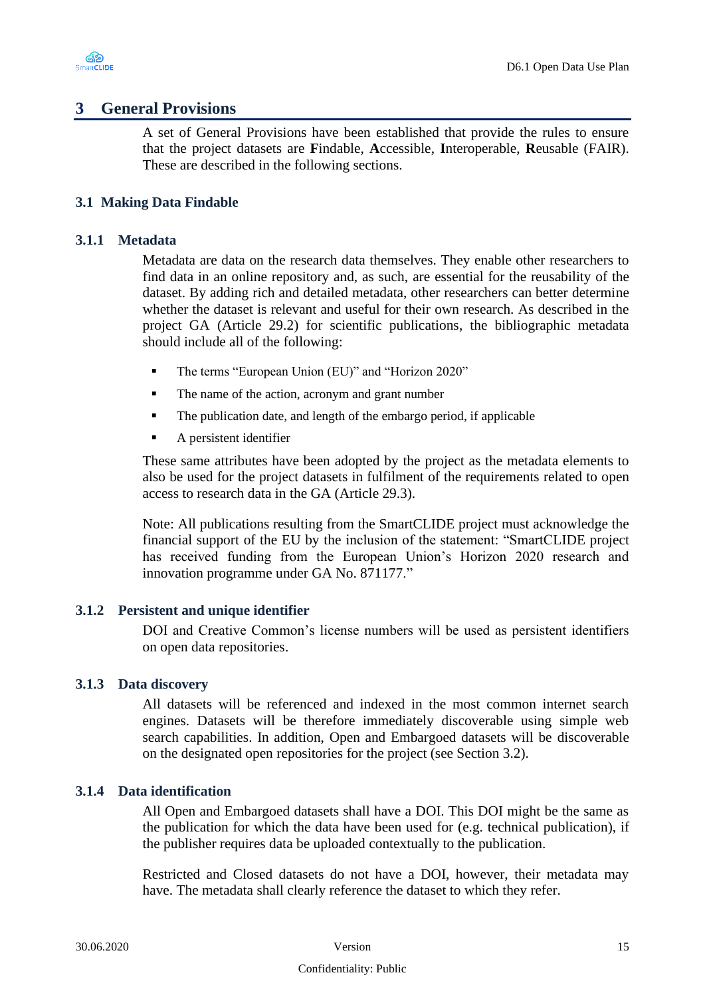

## <span id="page-14-0"></span>**3 General Provisions**

A set of General Provisions have been established that provide the rules to ensure that the project datasets are **F**indable, **A**ccessible, **I**nteroperable, **R**eusable (FAIR). These are described in the following sections.

### <span id="page-14-1"></span>**3.1 Making Data Findable**

#### <span id="page-14-2"></span>**3.1.1 Metadata**

Metadata are data on the research data themselves. They enable other researchers to find data in an online repository and, as such, are essential for the reusability of the dataset. By adding rich and detailed metadata, other researchers can better determine whether the dataset is relevant and useful for their own research. As described in the project GA (Article 29.2) for scientific publications, the bibliographic metadata should include all of the following:

- The terms "European Union (EU)" and "Horizon 2020"
- The name of the action, acronym and grant number
- The publication date, and length of the embargo period, if applicable
- A persistent identifier

These same attributes have been adopted by the project as the metadata elements to also be used for the project datasets in fulfilment of the requirements related to open access to research data in the GA (Article 29.3).

Note: All publications resulting from the SmartCLIDE project must acknowledge the financial support of the EU by the inclusion of the statement: "SmartCLIDE project has received funding from the European Union's Horizon 2020 research and innovation programme under GA No. 871177."

#### <span id="page-14-3"></span>**3.1.2 Persistent and unique identifier**

DOI and Creative Common's license numbers will be used as persistent identifiers on open data repositories.

#### <span id="page-14-4"></span>**3.1.3 Data discovery**

All datasets will be referenced and indexed in the most common internet search engines. Datasets will be therefore immediately discoverable using simple web search capabilities. In addition, Open and Embargoed datasets will be discoverable on the designated open repositories for the project (see Section 3.2).

#### <span id="page-14-5"></span>**3.1.4 Data identification**

All Open and Embargoed datasets shall have a DOI. This DOI might be the same as the publication for which the data have been used for (e.g. technical publication), if the publisher requires data be uploaded contextually to the publication.

Restricted and Closed datasets do not have a DOI, however, their metadata may have. The metadata shall clearly reference the dataset to which they refer.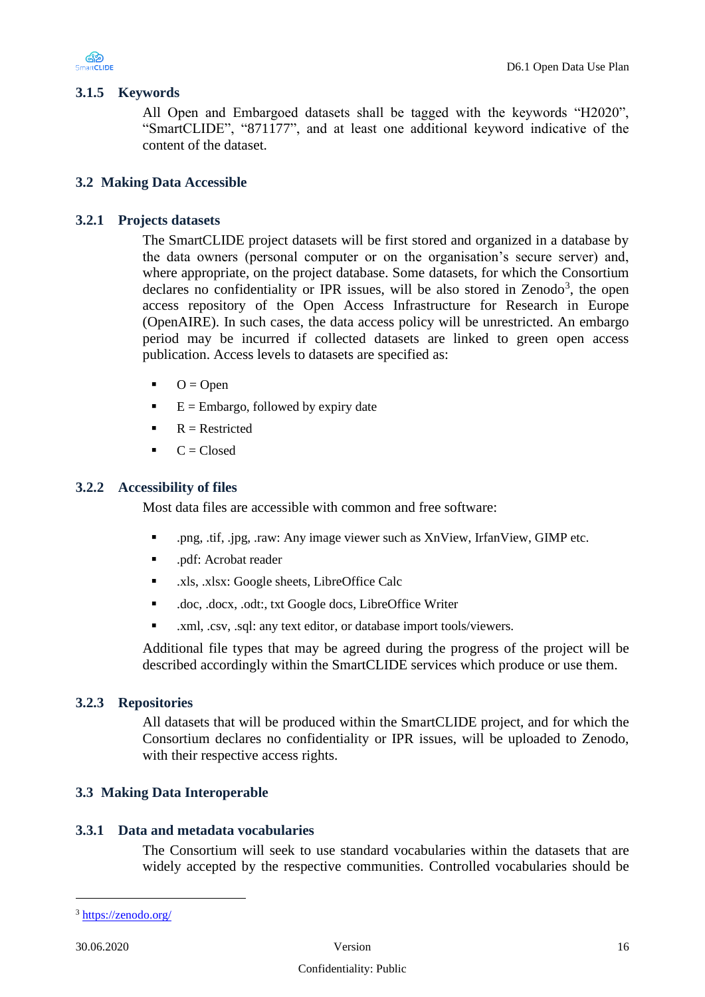

#### <span id="page-15-2"></span>**3.1.5 Keywords**

All Open and Embargoed datasets shall be tagged with the keywords "H2020", "SmartCLIDE", "871177", and at least one additional keyword indicative of the content of the dataset.

#### <span id="page-15-0"></span>**3.2 Making Data Accessible**

#### <span id="page-15-3"></span>**3.2.1 Projects datasets**

The SmartCLIDE project datasets will be first stored and organized in a database by the data owners (personal computer or on the organisation's secure server) and, where appropriate, on the project database. Some datasets, for which the Consortium declares no confidentiality or IPR issues, will be also stored in Zenodo<sup>3</sup>, the open access repository of the Open Access Infrastructure for Research in Europe (OpenAIRE). In such cases, the data access policy will be unrestricted. An embargo period may be incurred if collected datasets are linked to green open access publication. Access levels to datasets are specified as:

- $O = Open$
- $\blacksquare$  E = Embargo, followed by expiry date
- $\blacksquare$  R = Restricted
- $\blacksquare$   $C = Closed$

#### <span id="page-15-4"></span>**3.2.2 Accessibility of files**

Most data files are accessible with common and free software:

- .png, .tif, .jpg, .raw: Any image viewer such as XnView, IrfanView, GIMP etc.
- .pdf: Acrobat reader
- .xls, .xlsx: Google sheets, LibreOffice Calc
- .doc, .docx, .odt:, txt Google docs, LibreOffice Writer
- .xml, .csv, .sql: any text editor, or database import tools/viewers.

Additional file types that may be agreed during the progress of the project will be described accordingly within the SmartCLIDE services which produce or use them.

#### <span id="page-15-5"></span>**3.2.3 Repositories**

All datasets that will be produced within the SmartCLIDE project, and for which the Consortium declares no confidentiality or IPR issues, will be uploaded to Zenodo, with their respective access rights.

#### <span id="page-15-1"></span>**3.3 Making Data Interoperable**

#### <span id="page-15-6"></span>**3.3.1 Data and metadata vocabularies**

The Consortium will seek to use standard vocabularies within the datasets that are widely accepted by the respective communities. Controlled vocabularies should be

<sup>3</sup> <https://zenodo.org/>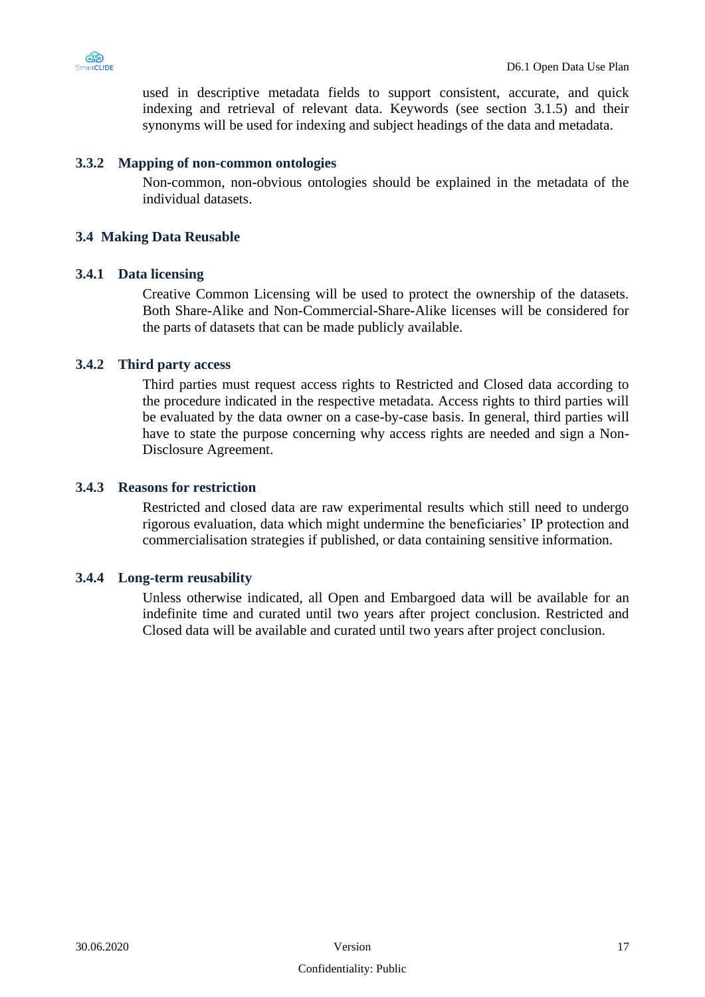

used in descriptive metadata fields to support consistent, accurate, and quick indexing and retrieval of relevant data. Keywords (see section 3.1.5) and their synonyms will be used for indexing and subject headings of the data and metadata.

#### <span id="page-16-1"></span>**3.3.2 Mapping of non-common ontologies**

Non-common, non-obvious ontologies should be explained in the metadata of the individual datasets.

#### <span id="page-16-0"></span>**3.4 Making Data Reusable**

#### <span id="page-16-2"></span>**3.4.1 Data licensing**

Creative Common Licensing will be used to protect the ownership of the datasets. Both Share-Alike and Non-Commercial-Share-Alike licenses will be considered for the parts of datasets that can be made publicly available.

#### <span id="page-16-3"></span>**3.4.2 Third party access**

Third parties must request access rights to Restricted and Closed data according to the procedure indicated in the respective metadata. Access rights to third parties will be evaluated by the data owner on a case-by-case basis. In general, third parties will have to state the purpose concerning why access rights are needed and sign a Non-Disclosure Agreement.

#### <span id="page-16-4"></span>**3.4.3 Reasons for restriction**

Restricted and closed data are raw experimental results which still need to undergo rigorous evaluation, data which might undermine the beneficiaries' IP protection and commercialisation strategies if published, or data containing sensitive information.

#### <span id="page-16-5"></span>**3.4.4 Long-term reusability**

Unless otherwise indicated, all Open and Embargoed data will be available for an indefinite time and curated until two years after project conclusion. Restricted and Closed data will be available and curated until two years after project conclusion.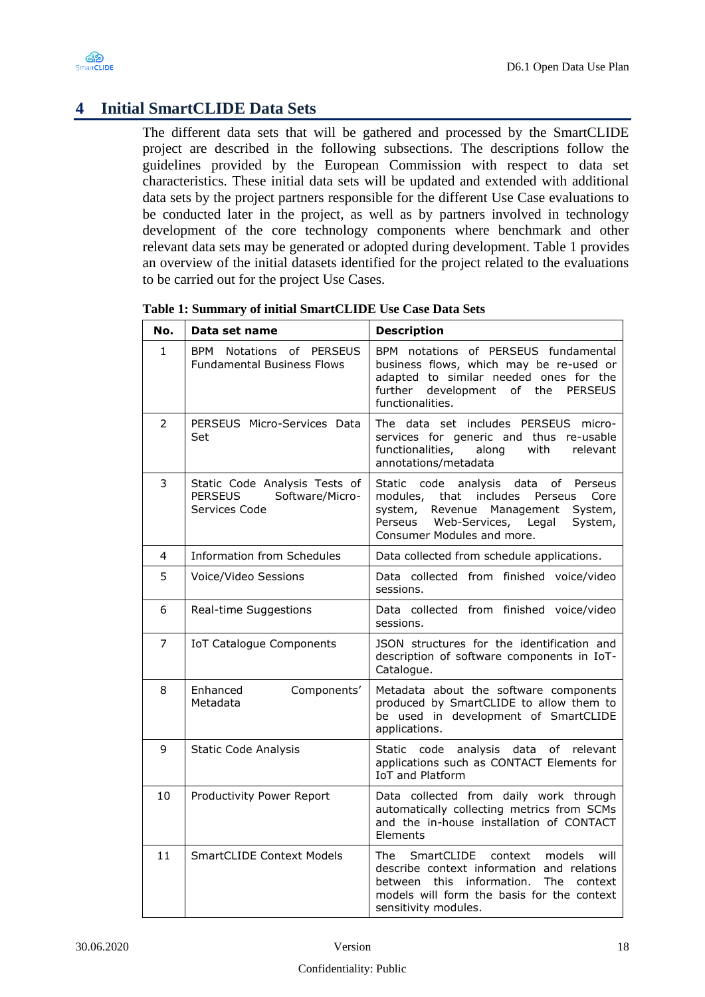

# <span id="page-17-0"></span>**4 Initial SmartCLIDE Data Sets**

The different data sets that will be gathered and processed by the SmartCLIDE project are described in the following subsections. The descriptions follow the guidelines provided by the European Commission with respect to data set characteristics. These initial data sets will be updated and extended with additional data sets by the project partners responsible for the different Use Case evaluations to be conducted later in the project, as well as by partners involved in technology development of the core technology components where benchmark and other relevant data sets may be generated or adopted during development. [Table 1](#page-17-1) provides an overview of the initial datasets identified for the project related to the evaluations to be carried out for the project Use Cases.

| No.          | Data set name                                                                       | <b>Description</b>                                                                                                                                                                                                      |
|--------------|-------------------------------------------------------------------------------------|-------------------------------------------------------------------------------------------------------------------------------------------------------------------------------------------------------------------------|
| $\mathbf{1}$ | Notations of PERSEUS<br>BPM<br><b>Fundamental Business Flows</b>                    | BPM notations of PERSEUS fundamental<br>business flows, which may be re-used or<br>adapted to similar needed ones for the<br>development of the<br>further<br><b>PERSEUS</b><br>functionalities.                        |
| 2            | PERSEUS Micro-Services Data<br>Set                                                  | The data set includes PERSEUS micro-<br>services for generic and thus re-usable<br>functionalities,<br>with<br>relevant<br>along<br>annotations/metadata                                                                |
| 3            | Static Code Analysis Tests of<br><b>PERSEUS</b><br>Software/Micro-<br>Services Code | Static code analysis data<br>of<br>Perseus<br>includes<br>modules,<br>Core<br>that<br>Perseus<br>system,<br>Revenue Management<br>System,<br>Perseus<br>Web-Services,<br>Legal<br>System,<br>Consumer Modules and more. |
| 4            | Information from Schedules                                                          | Data collected from schedule applications.                                                                                                                                                                              |
| 5            | Voice/Video Sessions                                                                | Data collected from finished voice/video<br>sessions.                                                                                                                                                                   |
| 6            | Real-time Suggestions                                                               | Data collected from finished voice/video<br>sessions.                                                                                                                                                                   |
| 7            | IoT Catalogue Components                                                            | JSON structures for the identification and<br>description of software components in IoT-<br>Catalogue.                                                                                                                  |
| 8            | Enhanced<br>Components'<br>Metadata                                                 | Metadata about the software components<br>produced by SmartCLIDE to allow them to<br>be used in development of SmartCLIDE<br>applications.                                                                              |
| 9            | <b>Static Code Analysis</b>                                                         | Static code analysis data of<br>relevant<br>applications such as CONTACT Elements for<br><b>IoT and Platform</b>                                                                                                        |
| 10           | Productivity Power Report                                                           | Data collected from daily work through<br>automatically collecting metrics from SCMs<br>and the in-house installation of CONTACT<br>Elements                                                                            |
| 11           | <b>SmartCLIDE Context Models</b>                                                    | SmartCLIDE context<br>models<br>will<br>The<br>describe context information and relations<br>this information.<br>The<br>between<br>context<br>models will form the basis for the context<br>sensitivity modules.       |

<span id="page-17-1"></span>**Table 1: Summary of initial SmartCLIDE Use Case Data Sets**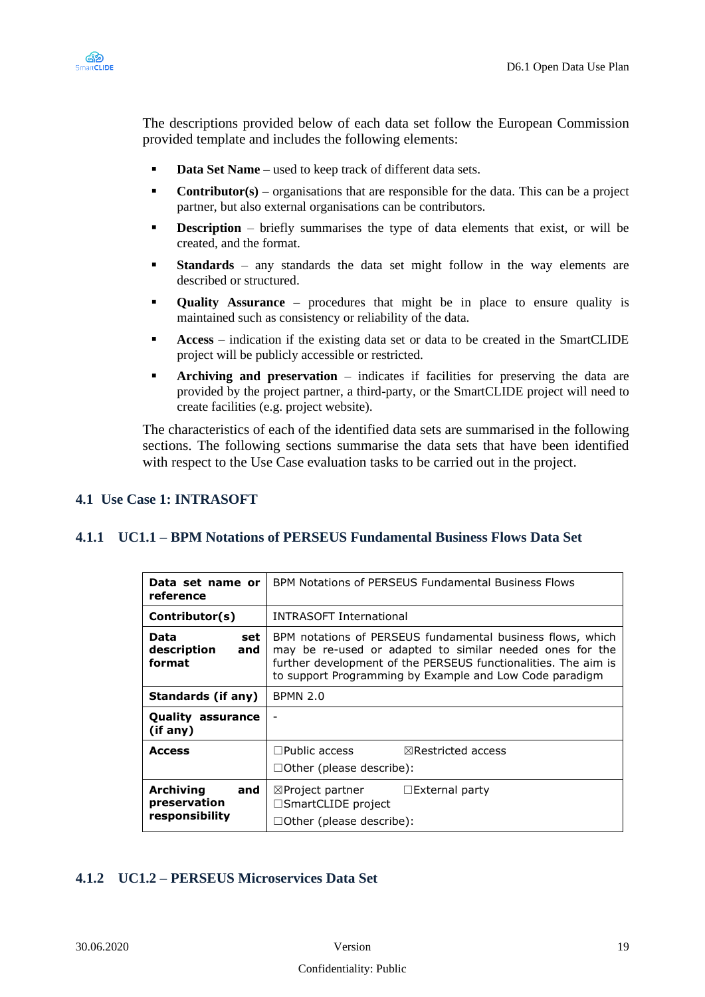

The descriptions provided below of each data set follow the European Commission provided template and includes the following elements:

- **Data Set Name** used to keep track of different data sets.
- **Contributor(s)** organisations that are responsible for the data. This can be a project partner, but also external organisations can be contributors.
- **Description** briefly summarises the type of data elements that exist, or will be created, and the format.
- **Example 1 Standards** any standards the data set might follow in the way elements are described or structured.
- **Quality Assurance** procedures that might be in place to ensure quality is maintained such as consistency or reliability of the data.
- Access indication if the existing data set or data to be created in the SmartCLIDE project will be publicly accessible or restricted.
- Archiving and preservation indicates if facilities for preserving the data are provided by the project partner, a third-party, or the SmartCLIDE project will need to create facilities (e.g. project website).

The characteristics of each of the identified data sets are summarised in the following sections. The following sections summarise the data sets that have been identified with respect to the Use Case evaluation tasks to be carried out in the project.

#### <span id="page-18-0"></span>**4.1 Use Case 1: INTRASOFT**

#### <span id="page-18-1"></span>**4.1.1 UC1.1 – BPM Notations of PERSEUS Fundamental Business Flows Data Set**

| Data set name or<br>reference                             | BPM Notations of PERSEUS Fundamental Business Flows                                                                                                                                                                                                 |  |
|-----------------------------------------------------------|-----------------------------------------------------------------------------------------------------------------------------------------------------------------------------------------------------------------------------------------------------|--|
| Contributor(s)                                            | <b>INTRASOFT International</b>                                                                                                                                                                                                                      |  |
| Data<br>set<br>description<br>and<br>format               | BPM notations of PERSEUS fundamental business flows, which<br>may be re-used or adapted to similar needed ones for the<br>further development of the PERSEUS functionalities. The aim is<br>to support Programming by Example and Low Code paradigm |  |
| Standards (if any)                                        | <b>BPMN 2.0</b>                                                                                                                                                                                                                                     |  |
| <b>Quality assurance</b><br>(if any)                      |                                                                                                                                                                                                                                                     |  |
| <b>Access</b>                                             | $\Box$ Public access<br>$\boxtimes$ Restricted access<br>$\Box$ Other (please describe):                                                                                                                                                            |  |
| <b>Archiving</b><br>and<br>preservation<br>responsibility | $\boxtimes$ Project partner<br>$\Box$ External party<br>$\Box$ SmartCLIDE project<br>$\Box$ Other (please describe):                                                                                                                                |  |

#### <span id="page-18-2"></span>**4.1.2 UC1.2 – PERSEUS Microservices Data Set**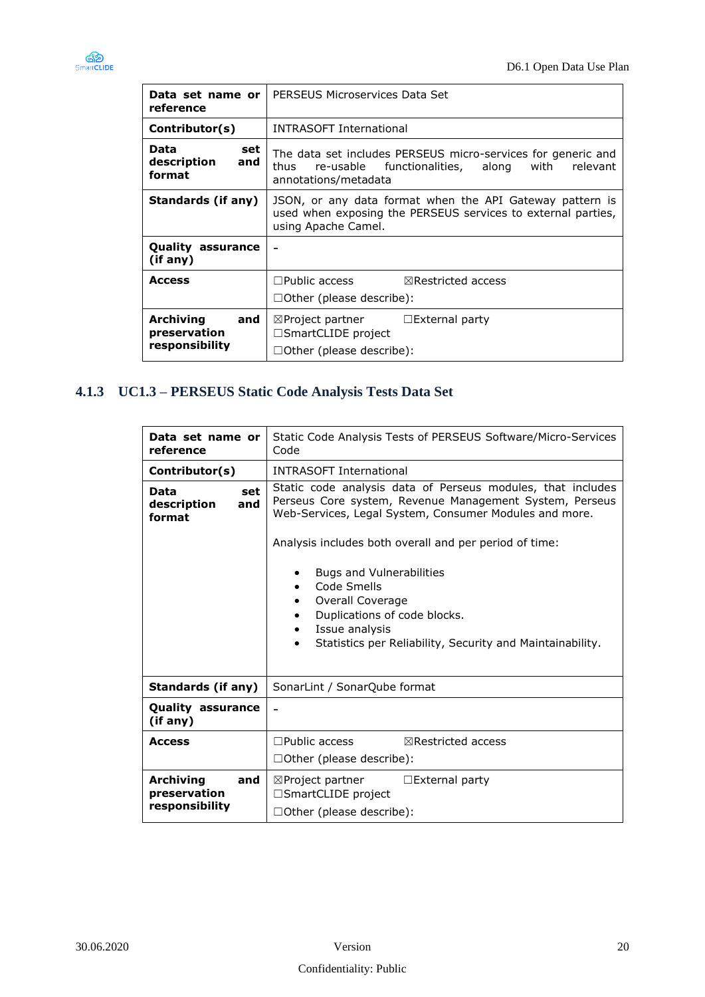

| Data set name or<br>reference                      | PERSEUS Microservices Data Set                                                                                                                  |  |
|----------------------------------------------------|-------------------------------------------------------------------------------------------------------------------------------------------------|--|
| Contributor(s)                                     | <b>INTRASOFT International</b>                                                                                                                  |  |
| Data<br>set<br>description<br>and<br>format        | The data set includes PERSEUS micro-services for generic and<br>re-usable functionalities, along with relevant<br>thus<br>annotations/metadata  |  |
| Standards (if any)                                 | JSON, or any data format when the API Gateway pattern is<br>used when exposing the PERSEUS services to external parties,<br>using Apache Camel. |  |
| <b>Quality assurance</b><br>(if any)               |                                                                                                                                                 |  |
| <b>Access</b>                                      | $\Box$ Public access<br>$\boxtimes$ Restricted access<br>$\Box$ Other (please describe):                                                        |  |
| Archiving<br>and<br>preservation<br>responsibility | $\boxtimes$ Project partner $\Box$ External party<br>$\Box$ SmartCLIDE project<br>□Other (please describe):                                     |  |

# <span id="page-19-0"></span>**4.1.3 UC1.3 – PERSEUS Static Code Analysis Tests Data Set**

| Data set name or<br>reference                             | Static Code Analysis Tests of PERSEUS Software/Micro-Services<br>Code                                                                                                                                          |
|-----------------------------------------------------------|----------------------------------------------------------------------------------------------------------------------------------------------------------------------------------------------------------------|
| Contributor(s)                                            | <b>INTRASOFT International</b>                                                                                                                                                                                 |
| Data<br>set<br>description<br>and<br>format               | Static code analysis data of Perseus modules, that includes<br>Perseus Core system, Revenue Management System, Perseus<br>Web-Services, Legal System, Consumer Modules and more.                               |
|                                                           | Analysis includes both overall and per period of time:                                                                                                                                                         |
|                                                           | Bugs and Vulnerabilities<br>٠<br>Code Smells<br>Overall Coverage<br>٠<br>Duplications of code blocks.<br>$\bullet$<br>Issue analysis<br>$\bullet$<br>Statistics per Reliability, Security and Maintainability. |
| Standards (if any)                                        | SonarLint / SonarQube format                                                                                                                                                                                   |
| <b>Quality assurance</b><br>(if any)                      | $\blacksquare$                                                                                                                                                                                                 |
| <b>Access</b>                                             | $\Box$ Public access<br>$\boxtimes$ Restricted access                                                                                                                                                          |
|                                                           | $\Box$ Other (please describe):                                                                                                                                                                                |
| <b>Archiving</b><br>and<br>preservation<br>responsibility | $\boxtimes$ Project partner<br>$\Box$ External party<br>$\square$ SmartCLIDE project<br>□Other (please describe):                                                                                              |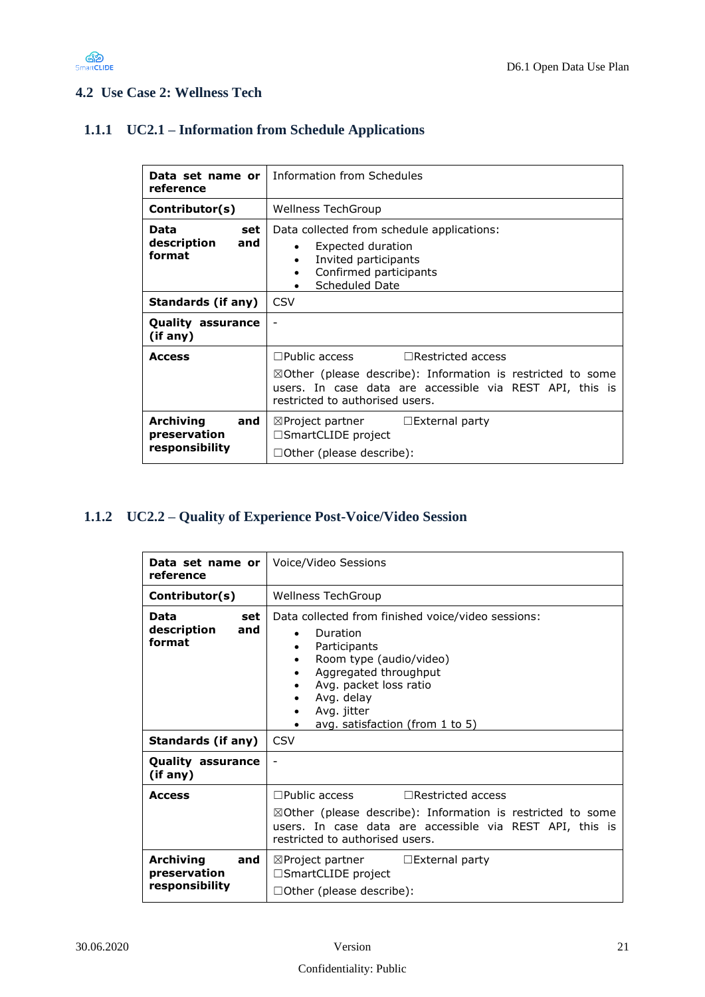

### <span id="page-20-0"></span>**4.2 Use Case 2: Wellness Tech**

### <span id="page-20-1"></span>**1.1.1 UC2.1 – Information from Schedule Applications**

| Data set name or l<br>reference                    | <b>Information from Schedules</b>                                                                                                                                                                                         |
|----------------------------------------------------|---------------------------------------------------------------------------------------------------------------------------------------------------------------------------------------------------------------------------|
| Contributor(s)                                     | <b>Wellness TechGroup</b>                                                                                                                                                                                                 |
| Data<br>set<br>description<br>and<br>format        | Data collected from schedule applications:<br>Expected duration<br>$\bullet$<br>Invited participants<br>Confirmed participants<br>Scheduled Date                                                                          |
| Standards (if any)                                 | <b>CSV</b>                                                                                                                                                                                                                |
| <b>Quality assurance</b><br>(if any)               | $\overline{\phantom{a}}$                                                                                                                                                                                                  |
| <b>Access</b>                                      | $\Box$ Public access<br>$\Box$ Restricted access<br>$\boxtimes$ Other (please describe): Information is restricted to some<br>users. In case data are accessible via REST API, this is<br>restricted to authorised users. |
| Archiving<br>and<br>preservation<br>responsibility | $\boxtimes$ Project partner $\Box$ External party<br>$\Box$ SmartCLIDE project<br>$\Box$ Other (please describe):                                                                                                         |

# <span id="page-20-2"></span>**1.1.2 UC2.2 – Quality of Experience Post-Voice/Video Session**

| reference                                                 | <b>Data set name or   Voice/Video Sessions</b>                                                                                                                                                                                              |
|-----------------------------------------------------------|---------------------------------------------------------------------------------------------------------------------------------------------------------------------------------------------------------------------------------------------|
| Contributor(s)                                            | <b>Wellness TechGroup</b>                                                                                                                                                                                                                   |
| Data<br>set<br>description<br>and<br>format               | Data collected from finished voice/video sessions:<br>Duration<br>Participants<br>٠<br>Room type (audio/video)<br>٠<br>Aggregated throughput<br>Avg. packet loss ratio<br>Avg. delay<br>Avg. jitter<br>٠<br>avg. satisfaction (from 1 to 5) |
| Standards (if any)                                        | <b>CSV</b>                                                                                                                                                                                                                                  |
| <b>Quality assurance</b><br>(if any)                      |                                                                                                                                                                                                                                             |
| <b>Access</b>                                             | $\Box$ Public access<br>$\Box$ Restricted access<br>$\boxtimes$ Other (please describe): Information is restricted to some<br>users. In case data are accessible via REST API, this is<br>restricted to authorised users.                   |
| <b>Archiving</b><br>and<br>preservation<br>responsibility | $\boxtimes$ Project partner $\Box$ External party<br>□SmartCLIDE project<br>□Other (please describe):                                                                                                                                       |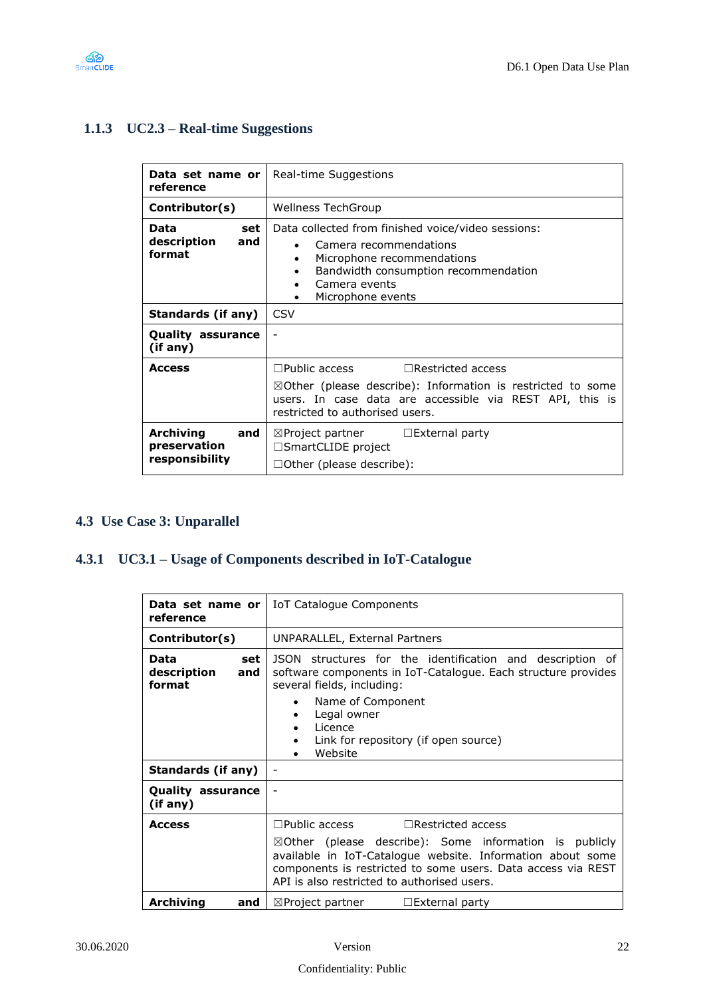

# <span id="page-21-1"></span>**1.1.3 UC2.3 – Real-time Suggestions**

| Data set name or<br>reference                             | Real-time Suggestions                                                                                                                                                                                                     |
|-----------------------------------------------------------|---------------------------------------------------------------------------------------------------------------------------------------------------------------------------------------------------------------------------|
| Contributor(s)                                            | <b>Wellness TechGroup</b>                                                                                                                                                                                                 |
| Data<br>set<br>description<br>and<br>format               | Data collected from finished voice/video sessions:<br>Camera recommendations<br>Microphone recommendations<br>Bandwidth consumption recommendation<br>Camera events<br>Microphone events                                  |
| Standards (if any)                                        | <b>CSV</b>                                                                                                                                                                                                                |
| <b>Quality assurance</b><br>(if any)                      |                                                                                                                                                                                                                           |
| <b>Access</b>                                             | $\Box$ Public access<br>$\Box$ Restricted access<br>$\boxtimes$ Other (please describe): Information is restricted to some<br>users. In case data are accessible via REST API, this is<br>restricted to authorised users. |
| <b>Archiving</b><br>and<br>preservation<br>responsibility | $\boxtimes$ Project partner $\Box$ External party<br>$\Box$ SmartCLIDE project<br>$\Box$ Other (please describe):                                                                                                         |

### <span id="page-21-0"></span>**4.3 Use Case 3: Unparallel**

# <span id="page-21-2"></span>**4.3.1 UC3.1 – Usage of Components described in IoT-Catalogue**

| Data set name or l<br>reference             | IoT Catalogue Components                                                                                                                                                                                                                       |
|---------------------------------------------|------------------------------------------------------------------------------------------------------------------------------------------------------------------------------------------------------------------------------------------------|
| Contributor(s)                              | UNPARALLEL, External Partners                                                                                                                                                                                                                  |
| set<br>Data<br>description<br>and<br>format | JSON structures for the identification and description of<br>software components in IoT-Catalogue. Each structure provides<br>several fields, including:                                                                                       |
|                                             | Name of Component<br>Legal owner<br>Licence<br>Link for repository (if open source)<br>Website                                                                                                                                                 |
| <b>Standards (if any)</b>                   |                                                                                                                                                                                                                                                |
| <b>Quality assurance</b><br>(if any)        |                                                                                                                                                                                                                                                |
| <b>Access</b>                               | $\Box$ Public access<br>$\Box$ Restricted access                                                                                                                                                                                               |
|                                             | $\boxtimes$ Other (please describe): Some information is publicly<br>available in IoT-Catalogue website. Information about some<br>components is restricted to some users. Data access via REST<br>API is also restricted to authorised users. |
| Archiving<br>and                            | $\boxtimes$ Project partner<br>$\Box$ External party                                                                                                                                                                                           |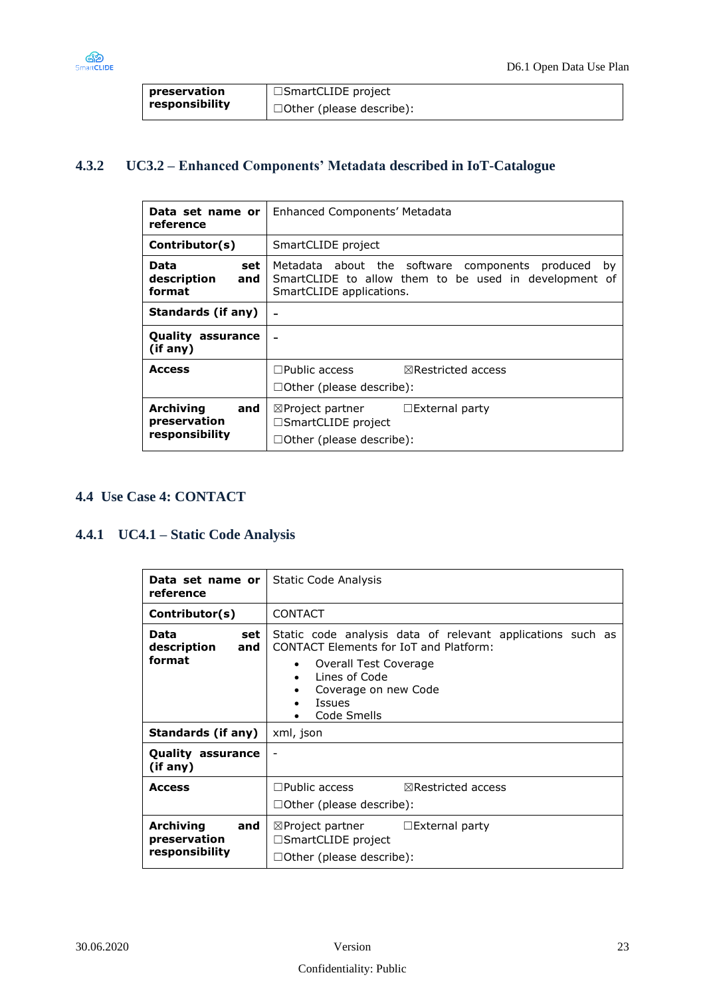

| preservation   | $\Box$ SmartCLIDE project       |
|----------------|---------------------------------|
| responsibility | $\Box$ Other (please describe): |

# <span id="page-22-1"></span>**4.3.2 UC3.2 – Enhanced Components' Metadata described in IoT-Catalogue**

| Data set name or<br>reference                             | Enhanced Components' Metadata                                                                                                              |
|-----------------------------------------------------------|--------------------------------------------------------------------------------------------------------------------------------------------|
| Contributor(s)                                            | SmartCLIDE project                                                                                                                         |
| Data<br>set<br>description<br>and<br>format               | Metadata about the software components produced<br>by<br>SmartCLIDE to allow them to be used in development of<br>SmartCLIDE applications. |
| Standards (if any)                                        |                                                                                                                                            |
| <b>Quality assurance</b><br>(if any)                      |                                                                                                                                            |
| <b>Access</b>                                             | $\sqsupset$ Public access<br>$\boxtimes$ Restricted access<br>$\Box$ Other (please describe):                                              |
| <b>Archiving</b><br>and<br>preservation<br>responsibility | $\Box$ External party<br>$\boxtimes$ Project partner<br>$\Box$ SmartCLIDE project<br>□Other (please describe):                             |

#### <span id="page-22-0"></span>**4.4 Use Case 4: CONTACT**

#### <span id="page-22-2"></span>**4.4.1 UC4.1 – Static Code Analysis**

| Data set name or<br>reference                             | Static Code Analysis                                                                                                                                                                                 |
|-----------------------------------------------------------|------------------------------------------------------------------------------------------------------------------------------------------------------------------------------------------------------|
| Contributor(s)                                            | <b>CONTACT</b>                                                                                                                                                                                       |
| Data<br>set<br>description<br>and<br>format               | Static code analysis data of relevant applications such as<br>CONTACT Flements for IoT and Platform:<br>Overall Test Coverage<br>Lines of Code<br>Coverage on new Code<br>٠<br>Issues<br>Code Smells |
| Standards (if any)                                        | xml, json                                                                                                                                                                                            |
| <b>Quality assurance</b><br>(if any)                      |                                                                                                                                                                                                      |
| <b>Access</b>                                             | $\Box$ Public access<br>$\boxtimes$ Restricted access<br>$\Box$ Other (please describe):                                                                                                             |
| <b>Archiving</b><br>and<br>preservation<br>responsibility | $\boxtimes$ Project partner<br>$\Box$ External party<br>□SmartCLIDE project<br>$\Box$ Other (please describe):                                                                                       |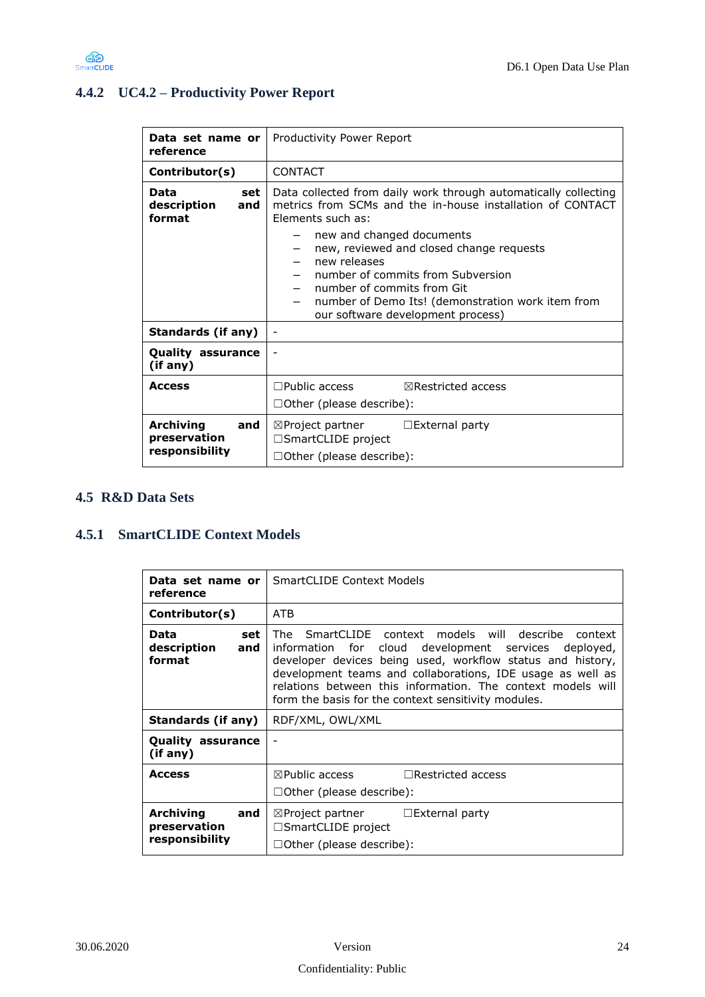

# <span id="page-23-1"></span>**4.4.2 UC4.2 – Productivity Power Report**

| Data set name or l<br>reference                           | Productivity Power Report                                                                                                                                                                                                                          |
|-----------------------------------------------------------|----------------------------------------------------------------------------------------------------------------------------------------------------------------------------------------------------------------------------------------------------|
| Contributor(s)                                            | <b>CONTACT</b>                                                                                                                                                                                                                                     |
| Data<br>set<br>description<br>and<br>format               | Data collected from daily work through automatically collecting<br>metrics from SCMs and the in-house installation of CONTACT<br>Flements such as:                                                                                                 |
|                                                           | new and changed documents<br>new, reviewed and closed change requests<br>new releases<br>number of commits from Subversion<br>number of commits from Git<br>number of Demo Its! (demonstration work item from<br>our software development process) |
| Standards (if any)                                        |                                                                                                                                                                                                                                                    |
| <b>Quality assurance</b><br>(if any)                      |                                                                                                                                                                                                                                                    |
| <b>Access</b>                                             | $\Box$ Public access<br>$\boxtimes$ Restricted access<br>$\Box$ Other (please describe):                                                                                                                                                           |
| <b>Archiving</b><br>and<br>preservation<br>responsibility | $\boxtimes$ Project partner<br>$\Box$ External party<br>□SmartCLIDE project<br>$\Box$ Other (please describe):                                                                                                                                     |

#### <span id="page-23-0"></span>**4.5 R&D Data Sets**

### <span id="page-23-2"></span>**4.5.1 SmartCLIDE Context Models**

| Data set name or<br>reference                             | <b>SmartCLIDE Context Models</b>                                                                                                                                                                                                                                                                                                                                 |
|-----------------------------------------------------------|------------------------------------------------------------------------------------------------------------------------------------------------------------------------------------------------------------------------------------------------------------------------------------------------------------------------------------------------------------------|
| Contributor(s)                                            | <b>ATB</b>                                                                                                                                                                                                                                                                                                                                                       |
| Data<br>set<br>description<br>and<br>format               | SmartCLIDE context models will describe context<br>The<br>information for cloud development services deployed,<br>developer devices being used, workflow status and history,<br>development teams and collaborations, IDE usage as well as<br>relations between this information. The context models will<br>form the basis for the context sensitivity modules. |
| Standards (if any)                                        | RDF/XML, OWL/XML                                                                                                                                                                                                                                                                                                                                                 |
| <b>Quality assurance</b><br>(if any)                      |                                                                                                                                                                                                                                                                                                                                                                  |
| <b>Access</b>                                             | $\boxtimes$ Public access<br>$\Box$ Restricted access<br>$\Box$ Other (please describe):                                                                                                                                                                                                                                                                         |
| <b>Archiving</b><br>and<br>preservation<br>responsibility | $\boxtimes$ Project partner $\Box$ External party<br>□SmartCLIDE project<br>$\Box$ Other (please describe):                                                                                                                                                                                                                                                      |